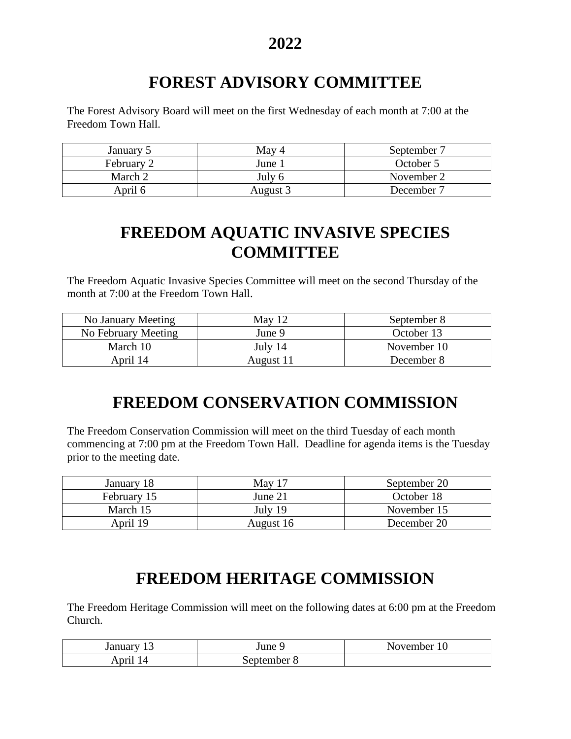# **FOREST ADVISORY COMMITTEE**

The Forest Advisory Board will meet on the first Wednesday of each month at 7:00 at the Freedom Town Hall.

| January 5  | May 4    | September 7 |
|------------|----------|-------------|
| February 2 | June     | October 5   |
| March 2    | July $6$ | November 2  |
| April 6    | August 3 | December 7  |

## **FREEDOM AQUATIC INVASIVE SPECIES COMMITTEE**

The Freedom Aquatic Invasive Species Committee will meet on the second Thursday of the month at 7:00 at the Freedom Town Hall.

| No January Meeting  | May 12    | September 8 |
|---------------------|-----------|-------------|
| No February Meeting | June 9    | October 13  |
| March 10            | July 14   | November 10 |
| April 14            | August 11 | December 8  |

#### **FREEDOM CONSERVATION COMMISSION**

The Freedom Conservation Commission will meet on the third Tuesday of each month commencing at 7:00 pm at the Freedom Town Hall. Deadline for agenda items is the Tuesday prior to the meeting date.

| January 18  | May $17$  | September 20 |
|-------------|-----------|--------------|
| February 15 | June 21   | October 18   |
| March 15    | July $19$ | November 15  |
| April 19    | August 16 | December 20  |

#### **FREEDOM HERITAGE COMMISSION**

The Freedom Heritage Commission will meet on the following dates at 6:00 pm at the Freedom Church.

| January<br>. . | June 9               | November 10 |
|----------------|----------------------|-------------|
| nrı            | September $\epsilon$ |             |